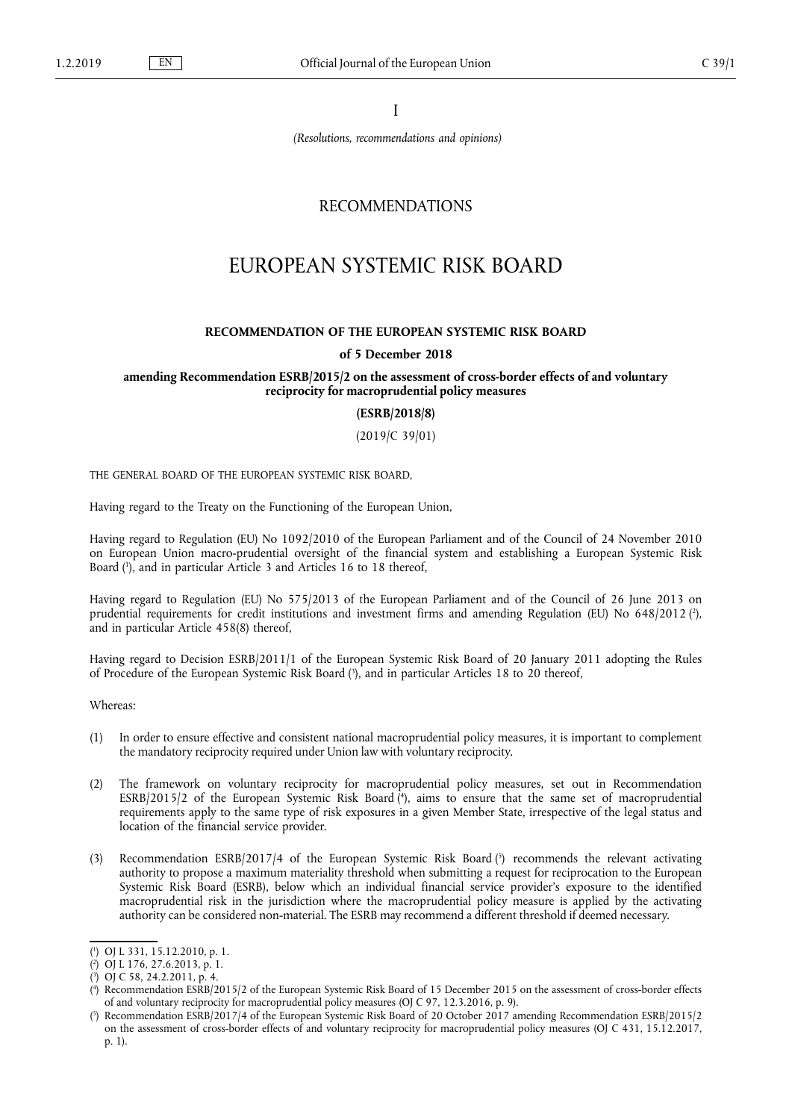I

*(Resolutions, recommendations and opinions)*

## RECOMMENDATIONS

# EUROPEAN SYSTEMIC RISK BOARD

#### **RECOMMENDATION OF THE EUROPEAN SYSTEMIC RISK BOARD**

#### **of 5 December 2018**

#### **amending Recommendation ESRB/2015/2 on the assessment of cross-border effects of and voluntary reciprocity for macroprudential policy measures**

**(ESRB/2018/8)**

(2019/C 39/01)

THE GENERAL BOARD OF THE EUROPEAN SYSTEMIC RISK BOARD,

Having regard to the Treaty on the Functioning of the European Union,

Having regard to Regulation (EU) No 1092/2010 of the European Parliament and of the Council of 24 November 2010 on European Union macro-prudential oversight of the financial system and establishing a European Systemic Risk Board ( 1 ), and in particular Article 3 and Articles 16 to 18 thereof,

Having regard to Regulation (EU) No 575/2013 of the European Parliament and of the Council of 26 June 2013 on prudential requirements for credit institutions and investment firms and amending Regulation (EU) No 648/2012 (?), and in particular Article 458(8) thereof,

Having regard to Decision ESRB/2011/1 of the European Systemic Risk Board of 20 January 2011 adopting the Rules of Procedure of the European Systemic Risk Board ( 3 ), and in particular Articles 18 to 20 thereof,

Whereas:

- (1) In order to ensure effective and consistent national macroprudential policy measures, it is important to complement the mandatory reciprocity required under Union law with voluntary reciprocity.
- (2) The framework on voluntary reciprocity for macroprudential policy measures, set out in Recommendation ESRB/2015/2 of the European Systemic Risk Board ( 4 ), aims to ensure that the same set of macroprudential requirements apply to the same type of risk exposures in a given Member State, irrespective of the legal status and location of the financial service provider.
- (3) Recommendation ESRB/2017/4 of the European Systemic Risk Board ( 5 ) recommends the relevant activating authority to propose a maximum materiality threshold when submitting a request for reciprocation to the European Systemic Risk Board (ESRB), below which an individual financial service provider's exposure to the identified macroprudential risk in the jurisdiction where the macroprudential policy measure is applied by the activating authority can be considered non-material. The ESRB may recommend a different threshold if deemed necessary.

<sup>(</sup> 1 ) OJ L 331, 15.12.2010, p. 1.

<sup>(</sup> 2 ) OJ L 176, 27.6.2013, p. 1.

<sup>(</sup> 3 ) OJ C 58, 24.2.2011, p. 4.

<sup>(</sup> 4 ) Recommendation ESRB/2015/2 of the European Systemic Risk Board of 15 December 2015 on the assessment of cross-border effects of and voluntary reciprocity for macroprudential policy measures (OJ C 97, 12.3.2016, p. 9).

<sup>(</sup> 5 ) Recommendation ESRB/2017/4 of the European Systemic Risk Board of 20 October 2017 amending Recommendation ESRB/2015/2 on the assessment of cross-border effects of and voluntary reciprocity for macroprudential policy measures (OJ C 431, 15.12.2017, p. 1).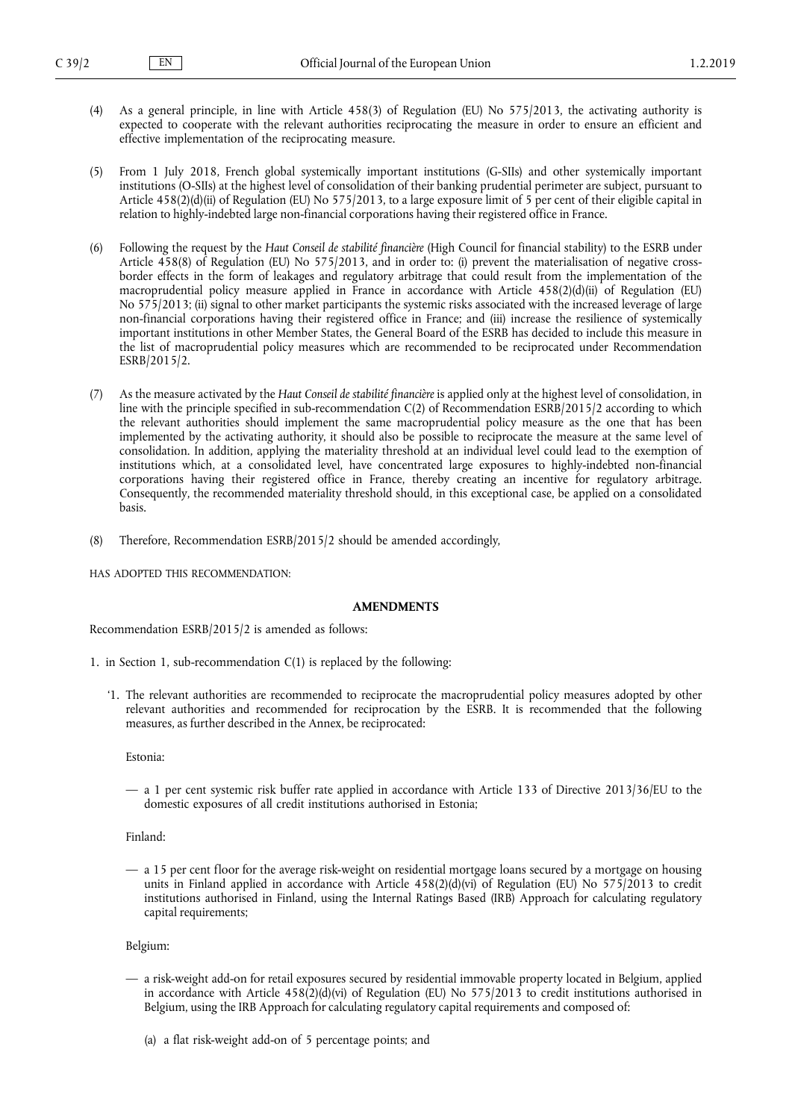- (4) As a general principle, in line with Article 458(3) of Regulation (EU) No 575/2013, the activating authority is expected to cooperate with the relevant authorities reciprocating the measure in order to ensure an efficient and effective implementation of the reciprocating measure.
- (5) From 1 July 2018, French global systemically important institutions (G-SIIs) and other systemically important institutions (O-SIIs) at the highest level of consolidation of their banking prudential perimeter are subject, pursuant to Article 458(2)(d)(ii) of Regulation (EU) No 575/2013, to a large exposure limit of 5 per cent of their eligible capital in relation to highly-indebted large non-financial corporations having their registered office in France.
- (6) Following the request by the *Haut Conseil de stabilité financière* (High Council for financial stability) to the ESRB under Article 458(8) of Regulation (EU) No 575/2013, and in order to: (i) prevent the materialisation of negative crossborder effects in the form of leakages and regulatory arbitrage that could result from the implementation of the macroprudential policy measure applied in France in accordance with Article 458(2)(d)(ii) of Regulation (EU) No 575/2013; (ii) signal to other market participants the systemic risks associated with the increased leverage of large non-financial corporations having their registered office in France; and (iii) increase the resilience of systemically important institutions in other Member States, the General Board of the ESRB has decided to include this measure in the list of macroprudential policy measures which are recommended to be reciprocated under Recommendation ESRB/2015/2.
- (7) As the measure activated by the *Haut Conseil de stabilité financière* is applied only at the highest level of consolidation, in line with the principle specified in sub-recommendation C(2) of Recommendation ESRB/2015/2 according to which the relevant authorities should implement the same macroprudential policy measure as the one that has been implemented by the activating authority, it should also be possible to reciprocate the measure at the same level of consolidation. In addition, applying the materiality threshold at an individual level could lead to the exemption of institutions which, at a consolidated level, have concentrated large exposures to highly-indebted non-financial corporations having their registered office in France, thereby creating an incentive for regulatory arbitrage. Consequently, the recommended materiality threshold should, in this exceptional case, be applied on a consolidated basis.
- (8) Therefore, Recommendation ESRB/2015/2 should be amended accordingly,

HAS ADOPTED THIS RECOMMENDATION:

### **AMENDMENTS**

Recommendation ESRB/2015/2 is amended as follows:

- 1. in Section 1, sub-recommendation  $C(1)$  is replaced by the following:
	- '1. The relevant authorities are recommended to reciprocate the macroprudential policy measures adopted by other relevant authorities and recommended for reciprocation by the ESRB. It is recommended that the following measures, as further described in the Annex, be reciprocated:

Estonia:

— a 1 per cent systemic risk buffer rate applied in accordance with Article 133 of Directive 2013/36/EU to the domestic exposures of all credit institutions authorised in Estonia;

Finland:

— a 15 per cent floor for the average risk-weight on residential mortgage loans secured by a mortgage on housing units in Finland applied in accordance with Article 458(2)(d)(vi) of Regulation (EU) No 575/2013 to credit institutions authorised in Finland, using the Internal Ratings Based (IRB) Approach for calculating regulatory capital requirements;

Belgium:

- a risk-weight add-on for retail exposures secured by residential immovable property located in Belgium, applied in accordance with Article  $458(2)(d)(vi)$  of Regulation (EU) No  $575/2013$  to credit institutions authorised in Belgium, using the IRB Approach for calculating regulatory capital requirements and composed of:
	- (a) a flat risk-weight add-on of 5 percentage points; and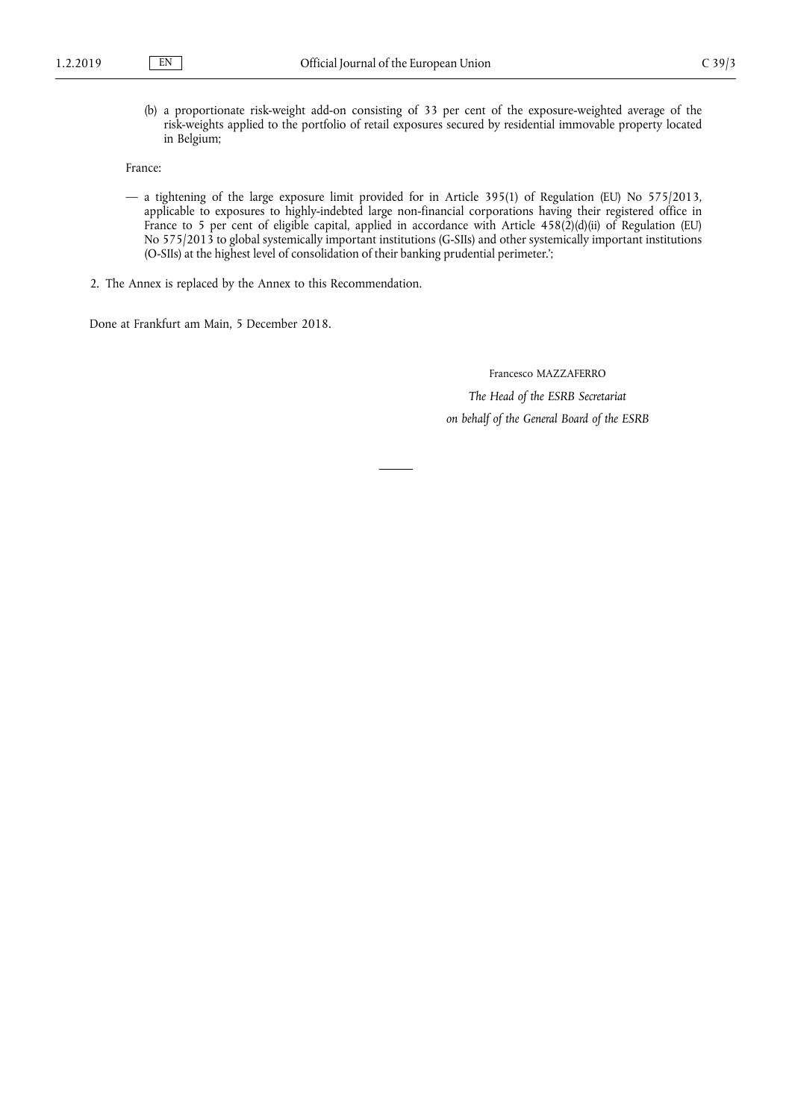(b) a proportionate risk-weight add-on consisting of 33 per cent of the exposure-weighted average of the risk-weights applied to the portfolio of retail exposures secured by residential immovable property located in Belgium;

France:

- a tightening of the large exposure limit provided for in Article 395(1) of Regulation (EU) No 575/2013, applicable to exposures to highly-indebted large non-financial corporations having their registered office in France to 5 per cent of eligible capital, applied in accordance with Article 458(2)(d)(ii) of Regulation (EU) No 575/2013 to global systemically important institutions (G-SIIs) and other systemically important institutions (O-SIIs) at the highest level of consolidation of their banking prudential perimeter.';
- 2. The Annex is replaced by the Annex to this Recommendation.

Done at Frankfurt am Main, 5 December 2018.

Francesco MAZZAFERRO

*The Head of the ESRB Secretariat on behalf of the General Board of the ESRB*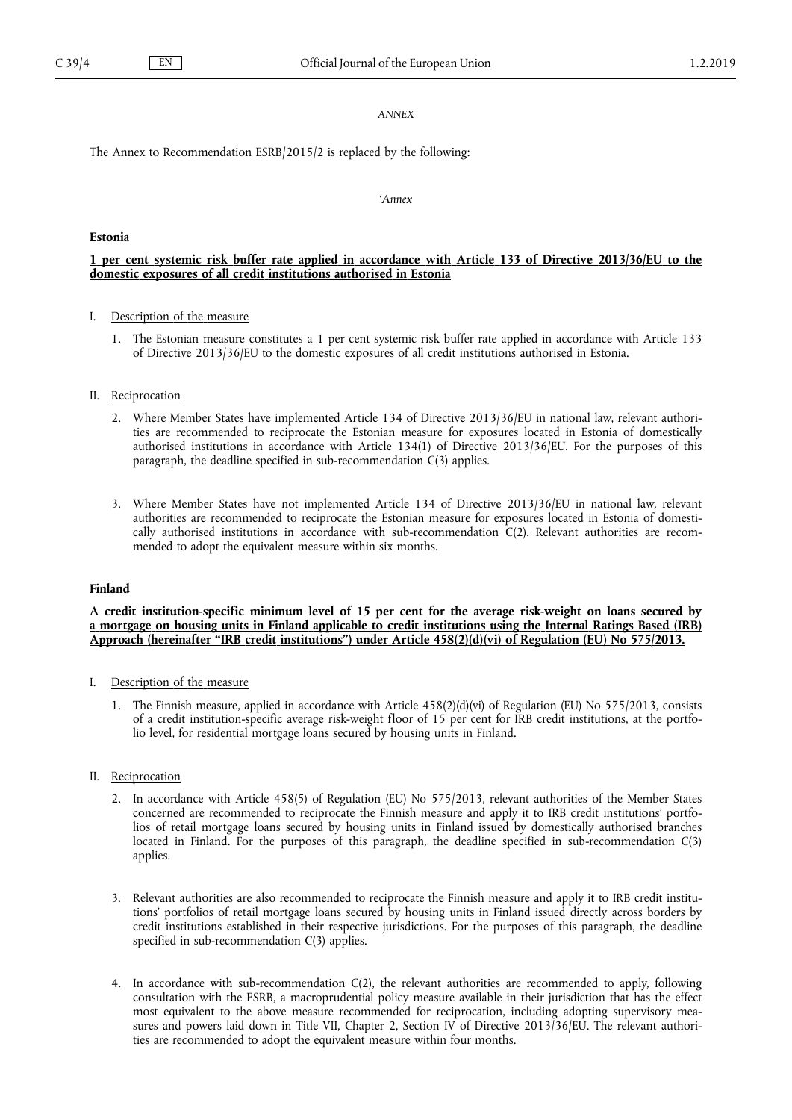#### *ANNEX*

The Annex to Recommendation ESRB/2015/2 is replaced by the following:

#### *'Annex*

#### **Estonia**

## 1 per cent systemic risk buffer rate applied in accordance with Article 133 of Directive 2013/36/EU to the **domestic exposures of all credit institutions authorised in Estonia**

### I. Description of the measure

1. The Estonian measure constitutes a 1 per cent systemic risk buffer rate applied in accordance with Article 133 of Directive 2013/36/EU to the domestic exposures of all credit institutions authorised in Estonia.

#### II. Reciprocation

- 2. Where Member States have implemented Article 134 of Directive 2013/36/EU in national law, relevant authorities are recommended to reciprocate the Estonian measure for exposures located in Estonia of domestically authorised institutions in accordance with Article 134(1) of Directive 2013/36/EU. For the purposes of this paragraph, the deadline specified in sub-recommendation C(3) applies.
- 3. Where Member States have not implemented Article 134 of Directive 2013/36/EU in national law, relevant authorities are recommended to reciprocate the Estonian measure for exposures located in Estonia of domestically authorised institutions in accordance with sub-recommendation  $C(2)$ . Relevant authorities are recommended to adopt the equivalent measure within six months.

#### **Finland**

A credit institution-specific minimum level of 15 per cent for the average risk-weight on loans secured by a mortgage on housing units in Finland applicable to credit institutions using the Internal Ratings Based (IRB) **Approach (hereinafter "IRB credit institutions") under Article 458(2)(d)(vi) of Regulation (EU) No 575/2013.**

## I. Description of the measure

1. The Finnish measure, applied in accordance with Article 458(2)(d)(vi) of Regulation (EU) No 575/2013, consists of a credit institution-specific average risk-weight floor of 15 per cent for IRB credit institutions, at the portfolio level, for residential mortgage loans secured by housing units in Finland.

## II. Reciprocation

- 2. In accordance with Article 458(5) of Regulation (EU) No 575/2013, relevant authorities of the Member States concerned are recommended to reciprocate the Finnish measure and apply it to IRB credit institutions' portfolios of retail mortgage loans secured by housing units in Finland issued by domestically authorised branches located in Finland. For the purposes of this paragraph, the deadline specified in sub-recommendation C(3) applies.
- 3. Relevant authorities are also recommended to reciprocate the Finnish measure and apply it to IRB credit institutions' portfolios of retail mortgage loans secured by housing units in Finland issued directly across borders by credit institutions established in their respective jurisdictions. For the purposes of this paragraph, the deadline specified in sub-recommendation C(3) applies.
- 4. In accordance with sub-recommendation C(2), the relevant authorities are recommended to apply, following consultation with the ESRB, a macroprudential policy measure available in their jurisdiction that has the effect most equivalent to the above measure recommended for reciprocation, including adopting supervisory measures and powers laid down in Title VII, Chapter 2, Section IV of Directive 2013/36/EU. The relevant authorities are recommended to adopt the equivalent measure within four months.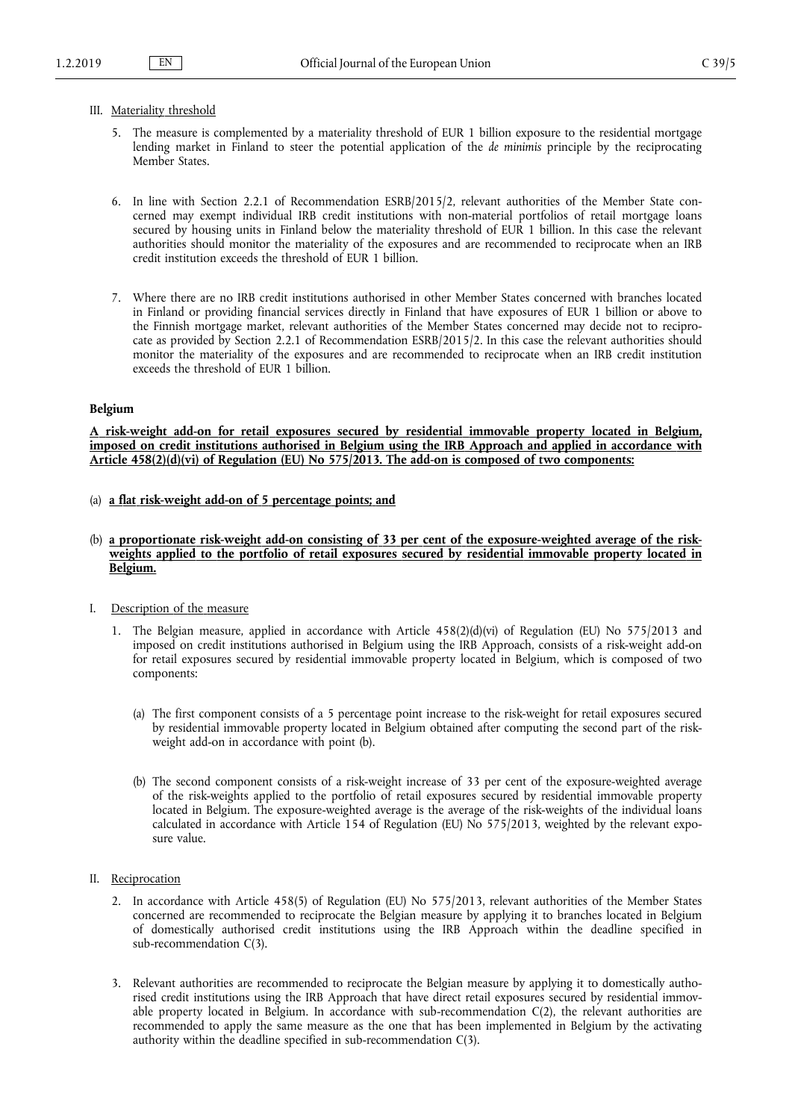#### III. Materiality threshold

- 5. The measure is complemented by a materiality threshold of EUR 1 billion exposure to the residential mortgage lending market in Finland to steer the potential application of the *de minimis* principle by the reciprocating Member States.
- 6. In line with Section 2.2.1 of Recommendation ESRB/2015/2, relevant authorities of the Member State concerned may exempt individual IRB credit institutions with non-material portfolios of retail mortgage loans secured by housing units in Finland below the materiality threshold of EUR 1 billion. In this case the relevant authorities should monitor the materiality of the exposures and are recommended to reciprocate when an IRB credit institution exceeds the threshold of EUR 1 billion.
- 7. Where there are no IRB credit institutions authorised in other Member States concerned with branches located in Finland or providing financial services directly in Finland that have exposures of EUR 1 billion or above to the Finnish mortgage market, relevant authorities of the Member States concerned may decide not to reciprocate as provided by Section 2.2.1 of Recommendation ESRB/2015/2. In this case the relevant authorities should monitor the materiality of the exposures and are recommended to reciprocate when an IRB credit institution exceeds the threshold of EUR 1 billion.

#### **Belgium**

**A risk-weight add-on for retail exposures secured by residential immovable property located in Belgium, imposed on credit institutions authorised in Belgium using the IRB Approach and applied in accordance with Article 458(2)(d)(vi) of Regulation (EU) No 575/2013. The add-on is composed of two components:**

- (a) **a flat risk-weight add-on of 5 percentage points; and**
- (b) **a proportionate risk-weight add-on consisting of 33 per cent of the exposure-weighted average of the riskweights applied to the portfolio of retail exposures secured by residential immovable property located in Belgium.**
- I. Description of the measure
	- 1. The Belgian measure, applied in accordance with Article 458(2)(d)(vi) of Regulation (EU) No 575/2013 and imposed on credit institutions authorised in Belgium using the IRB Approach, consists of a risk-weight add-on for retail exposures secured by residential immovable property located in Belgium, which is composed of two components:
		- (a) The first component consists of a 5 percentage point increase to the risk-weight for retail exposures secured by residential immovable property located in Belgium obtained after computing the second part of the riskweight add-on in accordance with point (b).
		- (b) The second component consists of a risk-weight increase of 33 per cent of the exposure-weighted average of the risk-weights applied to the portfolio of retail exposures secured by residential immovable property located in Belgium. The exposure-weighted average is the average of the risk-weights of the individual loans calculated in accordance with Article 154 of Regulation (EU) No 575/2013, weighted by the relevant exposure value.
- II. Reciprocation
	- 2. In accordance with Article 458(5) of Regulation (EU) No 575/2013, relevant authorities of the Member States concerned are recommended to reciprocate the Belgian measure by applying it to branches located in Belgium of domestically authorised credit institutions using the IRB Approach within the deadline specified in sub-recommendation C(3).
	- 3. Relevant authorities are recommended to reciprocate the Belgian measure by applying it to domestically authorised credit institutions using the IRB Approach that have direct retail exposures secured by residential immovable property located in Belgium. In accordance with sub-recommendation C(2), the relevant authorities are recommended to apply the same measure as the one that has been implemented in Belgium by the activating authority within the deadline specified in sub-recommendation C(3).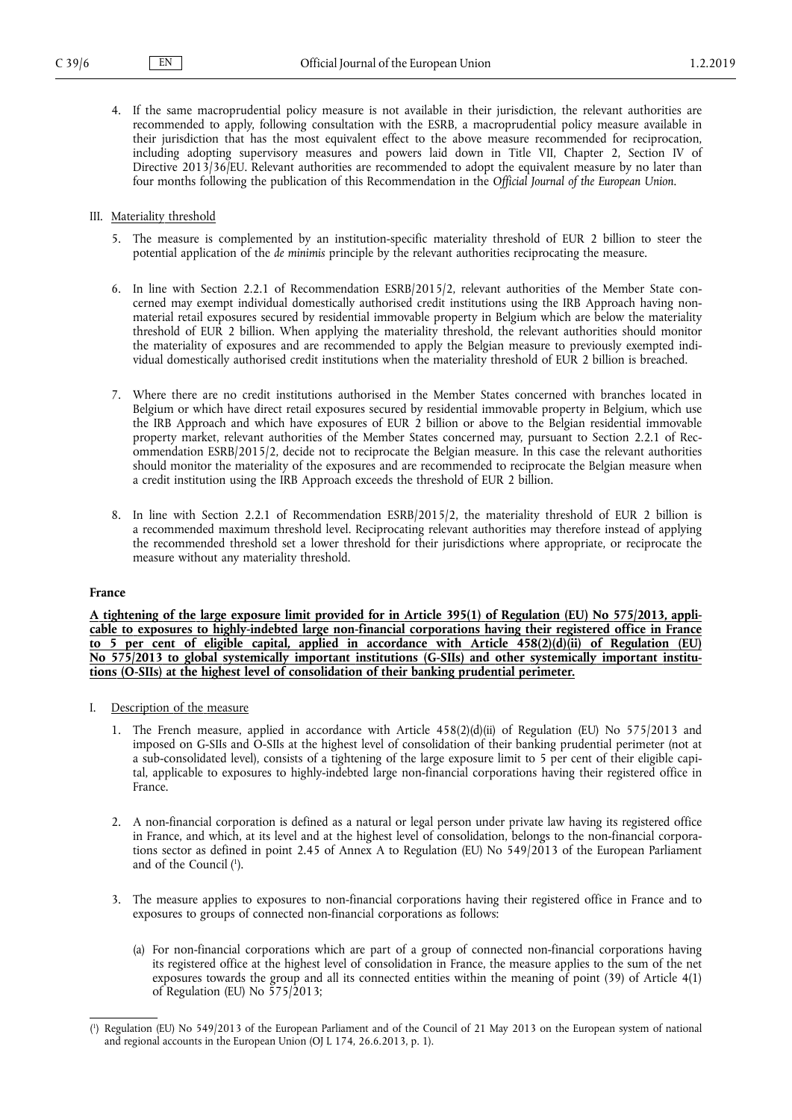4. If the same macroprudential policy measure is not available in their jurisdiction, the relevant authorities are recommended to apply, following consultation with the ESRB, a macroprudential policy measure available in their jurisdiction that has the most equivalent effect to the above measure recommended for reciprocation, including adopting supervisory measures and powers laid down in Title VII, Chapter 2, Section IV of Directive 2013/36/EU. Relevant authorities are recommended to adopt the equivalent measure by no later than four months following the publication of this Recommendation in the *Official Journal of the European Union*.

#### III. Materiality threshold

- 5. The measure is complemented by an institution-specific materiality threshold of EUR 2 billion to steer the potential application of the *de minimis* principle by the relevant authorities reciprocating the measure.
- 6. In line with Section 2.2.1 of Recommendation ESRB/2015/2, relevant authorities of the Member State concerned may exempt individual domestically authorised credit institutions using the IRB Approach having nonmaterial retail exposures secured by residential immovable property in Belgium which are below the materiality threshold of EUR 2 billion. When applying the materiality threshold, the relevant authorities should monitor the materiality of exposures and are recommended to apply the Belgian measure to previously exempted individual domestically authorised credit institutions when the materiality threshold of EUR 2 billion is breached.
- 7. Where there are no credit institutions authorised in the Member States concerned with branches located in Belgium or which have direct retail exposures secured by residential immovable property in Belgium, which use the IRB Approach and which have exposures of EUR 2 billion or above to the Belgian residential immovable property market, relevant authorities of the Member States concerned may, pursuant to Section 2.2.1 of Recommendation ESRB/2015/2, decide not to reciprocate the Belgian measure. In this case the relevant authorities should monitor the materiality of the exposures and are recommended to reciprocate the Belgian measure when a credit institution using the IRB Approach exceeds the threshold of EUR 2 billion.
- 8. In line with Section 2.2.1 of Recommendation ESRB/2015/2, the materiality threshold of EUR 2 billion is a recommended maximum threshold level. Reciprocating relevant authorities may therefore instead of applying the recommended threshold set a lower threshold for their jurisdictions where appropriate, or reciprocate the measure without any materiality threshold.

## **France**

A tightening of the large exposure limit provided for in Article 395(1) of Regulation (EU) No 575/2013, appli**cable to exposures to highly-indebted large non-financial corporations having their registered office in France to 5 per cent of eligible capital, applied in accordance with Article 458(2)(d)(ii) of Regulation (EU) No 575/2013 to global systemically important institutions (G-SIIs) and other systemically important institutions (O-SIIs) at the highest level of consolidation of their banking prudential perimeter.**

- I. Description of the measure
	- 1. The French measure, applied in accordance with Article 458(2)(d)(ii) of Regulation (EU) No 575/2013 and imposed on G-SIIs and O-SIIs at the highest level of consolidation of their banking prudential perimeter (not at a sub-consolidated level), consists of a tightening of the large exposure limit to 5 per cent of their eligible capital, applicable to exposures to highly-indebted large non-financial corporations having their registered office in France.
	- 2. A non-financial corporation is defined as a natural or legal person under private law having its registered office in France, and which, at its level and at the highest level of consolidation, belongs to the non-financial corporations sector as defined in point 2.45 of Annex A to Regulation (EU) No 549/2013 of the European Parliament and of the Council ( 1 ).
	- 3. The measure applies to exposures to non-financial corporations having their registered office in France and to exposures to groups of connected non-financial corporations as follows:
		- (a) For non-financial corporations which are part of a group of connected non-financial corporations having its registered office at the highest level of consolidation in France, the measure applies to the sum of the net exposures towards the group and all its connected entities within the meaning of point (39) of Article 4(1) of Regulation (EU) No 575/2013;

<sup>(</sup> 1 ) Regulation (EU) No 549/2013 of the European Parliament and of the Council of 21 May 2013 on the European system of national and regional accounts in the European Union (OJ L 174, 26.6.2013, p. 1).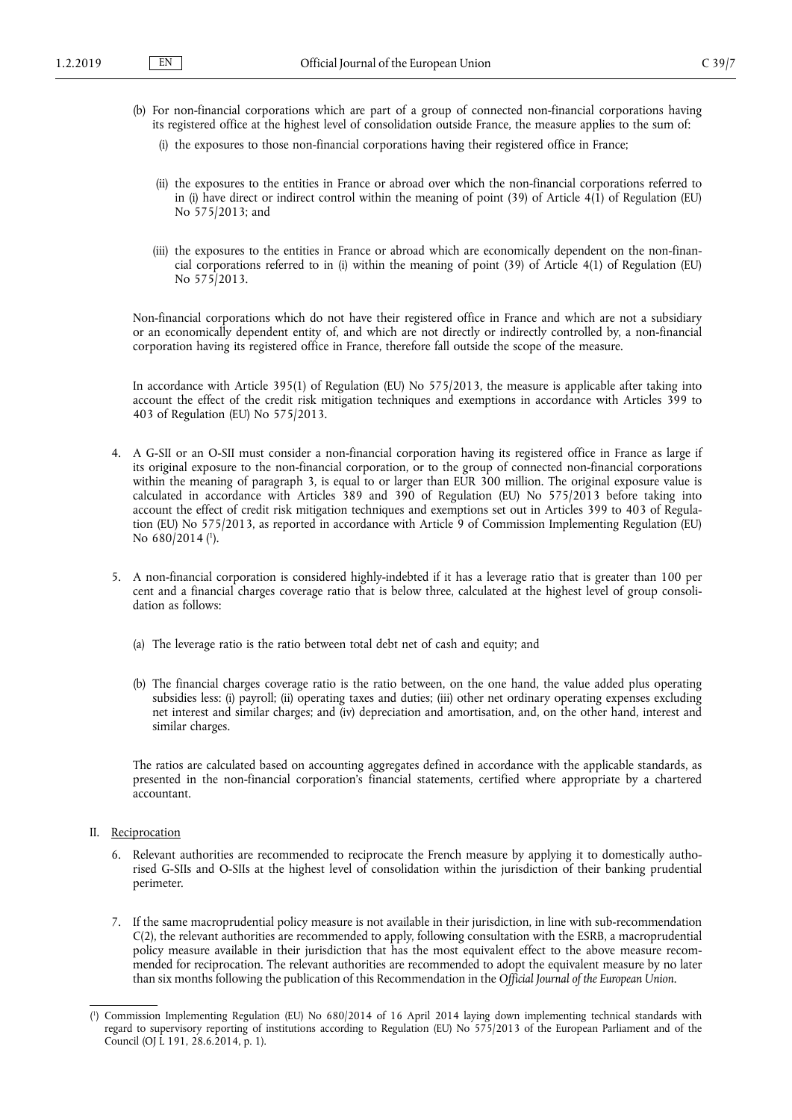- (b) For non-financial corporations which are part of a group of connected non-financial corporations having its registered office at the highest level of consolidation outside France, the measure applies to the sum of:
	- (i) the exposures to those non-financial corporations having their registered office in France;
	- (ii) the exposures to the entities in France or abroad over which the non-financial corporations referred to in (i) have direct or indirect control within the meaning of point  $(39)$  of Article  $4(1)$  of Regulation (EU) No 575/2013; and
	- (iii) the exposures to the entities in France or abroad which are economically dependent on the non-financial corporations referred to in (i) within the meaning of point (39) of Article 4(1) of Regulation (EU) No 575/2013.

Non-financial corporations which do not have their registered office in France and which are not a subsidiary or an economically dependent entity of, and which are not directly or indirectly controlled by, a non-financial corporation having its registered office in France, therefore fall outside the scope of the measure.

In accordance with Article 395(1) of Regulation (EU) No 575/2013, the measure is applicable after taking into account the effect of the credit risk mitigation techniques and exemptions in accordance with Articles 399 to 403 of Regulation (EU) No 575/2013.

- 4. A G-SII or an O-SII must consider a non-financial corporation having its registered office in France as large if its original exposure to the non-financial corporation, or to the group of connected non-financial corporations within the meaning of paragraph 3, is equal to or larger than EUR 300 million. The original exposure value is calculated in accordance with Articles 389 and 390 of Regulation (EU) No 575/2013 before taking into account the effect of credit risk mitigation techniques and exemptions set out in Articles 399 to 403 of Regulation (EU) No 575/2013, as reported in accordance with Article 9 of Commission Implementing Regulation (EU) No 680/2014 (<sup>1</sup>).
- 5. A non-financial corporation is considered highly-indebted if it has a leverage ratio that is greater than 100 per cent and a financial charges coverage ratio that is below three, calculated at the highest level of group consolidation as follows:
	- (a) The leverage ratio is the ratio between total debt net of cash and equity; and
	- (b) The financial charges coverage ratio is the ratio between, on the one hand, the value added plus operating subsidies less: (i) payroll; (ii) operating taxes and duties; (iii) other net ordinary operating expenses excluding net interest and similar charges; and (iv) depreciation and amortisation, and, on the other hand, interest and similar charges.

The ratios are calculated based on accounting aggregates defined in accordance with the applicable standards, as presented in the non-financial corporation's financial statements, certified where appropriate by a chartered accountant.

- II. Reciprocation
	- 6. Relevant authorities are recommended to reciprocate the French measure by applying it to domestically authorised G-SIIs and O-SIIs at the highest level of consolidation within the jurisdiction of their banking prudential perimeter.
	- 7. If the same macroprudential policy measure is not available in their jurisdiction, in line with sub-recommendation C(2), the relevant authorities are recommended to apply, following consultation with the ESRB, a macroprudential policy measure available in their jurisdiction that has the most equivalent effect to the above measure recommended for reciprocation. The relevant authorities are recommended to adopt the equivalent measure by no later than six months following the publication of this Recommendation in the *Official Journal of the European Union*.

<sup>(</sup> 1 ) Commission Implementing Regulation (EU) No 680/2014 of 16 April 2014 laying down implementing technical standards with regard to supervisory reporting of institutions according to Regulation (EU) No 575/2013 of the European Parliament and of the Council (OJ L 191, 28.6.2014, p. 1).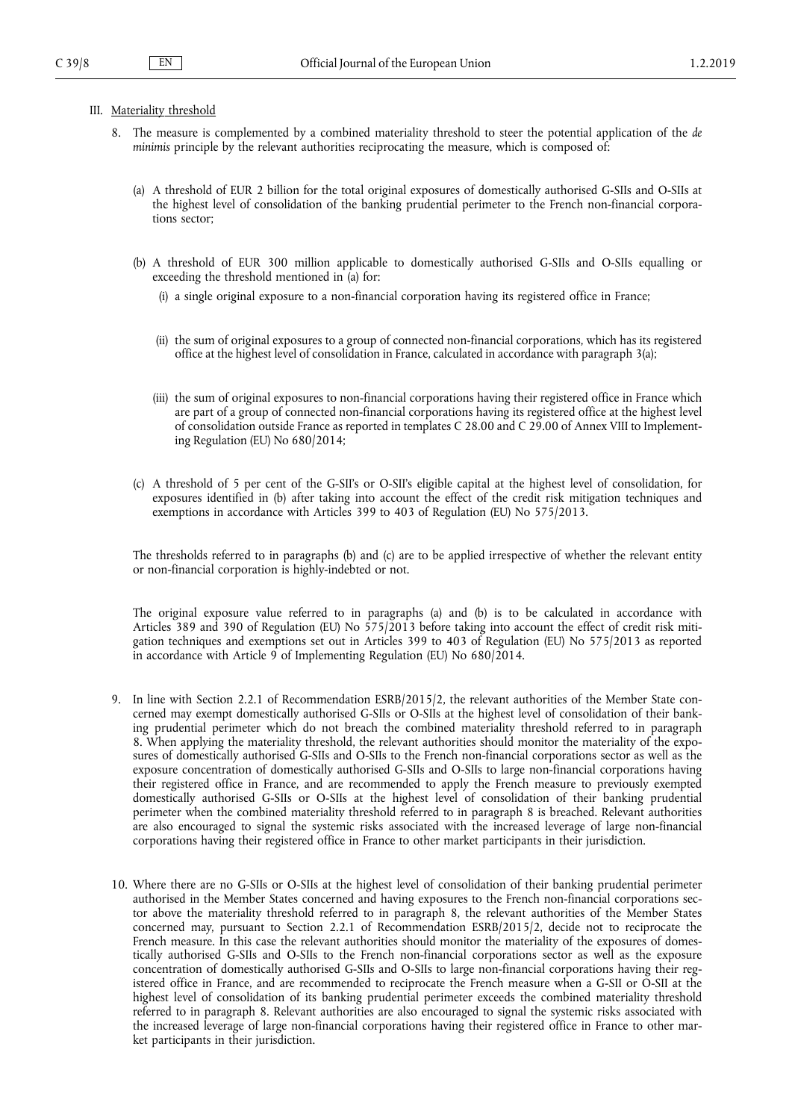## III. Materiality threshold

- 8. The measure is complemented by a combined materiality threshold to steer the potential application of the *de minimis* principle by the relevant authorities reciprocating the measure, which is composed of:
	- (a) A threshold of EUR 2 billion for the total original exposures of domestically authorised G-SIIs and O-SIIs at the highest level of consolidation of the banking prudential perimeter to the French non-financial corporations sector;
	- (b) A threshold of EUR 300 million applicable to domestically authorised G-SIIs and O-SIIs equalling or exceeding the threshold mentioned in (a) for:
		- (i) a single original exposure to a non-financial corporation having its registered office in France;
		- (ii) the sum of original exposures to a group of connected non-financial corporations, which has its registered office at the highest level of consolidation in France, calculated in accordance with paragraph 3(a);
		- (iii) the sum of original exposures to non-financial corporations having their registered office in France which are part of a group of connected non-financial corporations having its registered office at the highest level of consolidation outside France as reported in templates C 28.00 and C 29.00 of Annex VIII to Implementing Regulation (EU) No 680/2014;
	- (c) A threshold of 5 per cent of the G-SII's or O-SII's eligible capital at the highest level of consolidation, for exposures identified in (b) after taking into account the effect of the credit risk mitigation techniques and exemptions in accordance with Articles 399 to 403 of Regulation (EU) No 575/2013.

The thresholds referred to in paragraphs (b) and (c) are to be applied irrespective of whether the relevant entity or non-financial corporation is highly-indebted or not.

The original exposure value referred to in paragraphs (a) and (b) is to be calculated in accordance with Articles 389 and 390 of Regulation (EU) No 575/2013 before taking into account the effect of credit risk mitigation techniques and exemptions set out in Articles 399 to 403 of Regulation (EU) No 575/2013 as reported in accordance with Article 9 of Implementing Regulation (EU) No 680/2014.

- 9. In line with Section 2.2.1 of Recommendation ESRB/2015/2, the relevant authorities of the Member State concerned may exempt domestically authorised G-SIIs or O-SIIs at the highest level of consolidation of their banking prudential perimeter which do not breach the combined materiality threshold referred to in paragraph 8. When applying the materiality threshold, the relevant authorities should monitor the materiality of the exposures of domestically authorised G-SIIs and O-SIIs to the French non-financial corporations sector as well as the exposure concentration of domestically authorised G-SIIs and O-SIIs to large non-financial corporations having their registered office in France, and are recommended to apply the French measure to previously exempted domestically authorised G-SIIs or O-SIIs at the highest level of consolidation of their banking prudential perimeter when the combined materiality threshold referred to in paragraph 8 is breached. Relevant authorities are also encouraged to signal the systemic risks associated with the increased leverage of large non-financial corporations having their registered office in France to other market participants in their jurisdiction.
- 10. Where there are no G-SIIs or O-SIIs at the highest level of consolidation of their banking prudential perimeter authorised in the Member States concerned and having exposures to the French non-financial corporations sector above the materiality threshold referred to in paragraph 8, the relevant authorities of the Member States concerned may, pursuant to Section 2.2.1 of Recommendation ESRB/2015/2, decide not to reciprocate the French measure. In this case the relevant authorities should monitor the materiality of the exposures of domestically authorised G-SIIs and O-SIIs to the French non-financial corporations sector as well as the exposure concentration of domestically authorised G-SIIs and O-SIIs to large non-financial corporations having their registered office in France, and are recommended to reciprocate the French measure when a G-SII or O-SII at the highest level of consolidation of its banking prudential perimeter exceeds the combined materiality threshold referred to in paragraph 8. Relevant authorities are also encouraged to signal the systemic risks associated with the increased leverage of large non-financial corporations having their registered office in France to other market participants in their jurisdiction.